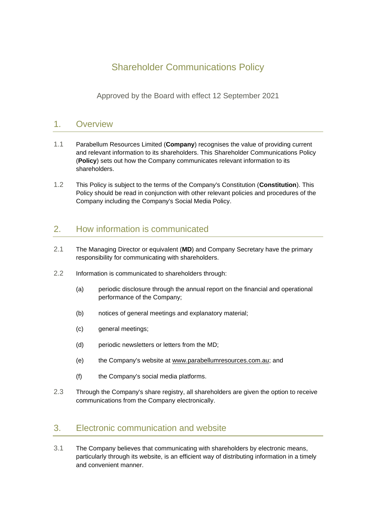# Shareholder Communications Policy

Approved by the Board with effect 12 September 2021

## 1. Overview

- 1.1 Parabellum Resources Limited (**Company**) recognises the value of providing current and relevant information to its shareholders. This Shareholder Communications Policy (**Policy**) sets out how the Company communicates relevant information to its shareholders.
- 1.2 This Policy is subject to the terms of the Company's Constitution (**Constitution**). This Policy should be read in conjunction with other relevant policies and procedures of the Company including the Company's Social Media Policy.

# 2. How information is communicated

- 2.1 The Managing Director or equivalent (**MD**) and Company Secretary have the primary responsibility for communicating with shareholders.
- 2.2 Information is communicated to shareholders through:
	- (a) periodic disclosure through the annual report on the financial and operational performance of the Company;
	- (b) notices of general meetings and explanatory material;
	- (c) general meetings;
	- (d) periodic newsletters or letters from the MD;
	- (e) the Company's website at www.parabellumresources.com.au; and
	- (f) the Company's social media platforms.
- 2.3 Through the Company's share registry, all shareholders are given the option to receive communications from the Company electronically.

## 3. Electronic communication and website

3.1 The Company believes that communicating with shareholders by electronic means, particularly through its website, is an efficient way of distributing information in a timely and convenient manner.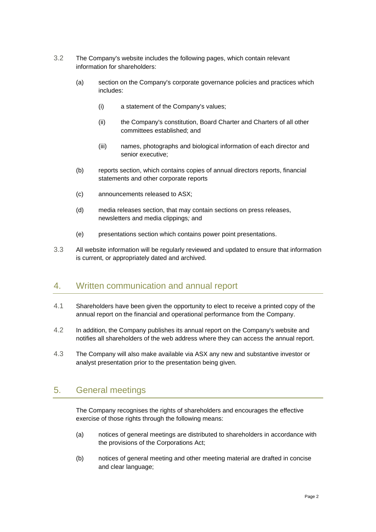- 3.2 The Company's website includes the following pages, which contain relevant information for shareholders:
	- (a) section on the Company's corporate governance policies and practices which includes:
		- (i) a statement of the Company's values;
		- (ii) the Company's constitution, Board Charter and Charters of all other committees established; and
		- (iii) names, photographs and biological information of each director and senior executive;
	- (b) reports section, which contains copies of annual directors reports, financial statements and other corporate reports
	- (c) announcements released to ASX;
	- (d) media releases section, that may contain sections on press releases, newsletters and media clippings*;* and
	- (e) presentations section which contains power point presentations.
- 3.3 All website information will be regularly reviewed and updated to ensure that information is current, or appropriately dated and archived.

#### 4. Written communication and annual report

- 4.1 Shareholders have been given the opportunity to elect to receive a printed copy of the annual report on the financial and operational performance from the Company.
- 4.2 In addition, the Company publishes its annual report on the Company's website and notifies all shareholders of the web address where they can access the annual report.
- 4.3 The Company will also make available via ASX any new and substantive investor or analyst presentation prior to the presentation being given.

## 5. General meetings

The Company recognises the rights of shareholders and encourages the effective exercise of those rights through the following means:

- (a) notices of general meetings are distributed to shareholders in accordance with the provisions of the Corporations Act;
- (b) notices of general meeting and other meeting material are drafted in concise and clear language;